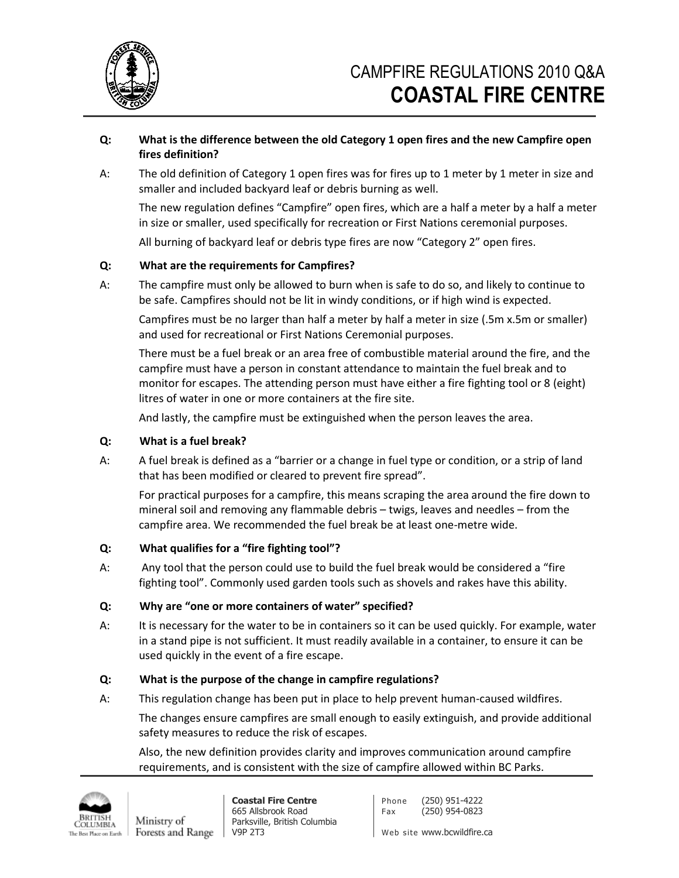

# **Q: What is the difference between the old Category 1 open fires and the new Campfire open fires definition?**

A: The old definition of Category 1 open fires was for fires up to 1 meter by 1 meter in size and smaller and included backyard leaf or debris burning as well.

The new regulation defines "Campfire" open fires, which are a half a meter by a half a meter in size or smaller, used specifically for recreation or First Nations ceremonial purposes.

All burning of backyard leaf or debris type fires are now "Category 2" open fires.

## **Q: What are the requirements for Campfires?**

A: The campfire must only be allowed to burn when is safe to do so, and likely to continue to be safe. Campfires should not be lit in windy conditions, or if high wind is expected.

Campfires must be no larger than half a meter by half a meter in size (.5m x.5m or smaller) and used for recreational or First Nations Ceremonial purposes.

There must be a fuel break or an area free of combustible material around the fire, and the campfire must have a person in constant attendance to maintain the fuel break and to monitor for escapes. The attending person must have either a fire fighting tool or 8 (eight) litres of water in one or more containers at the fire site.

And lastly, the campfire must be extinguished when the person leaves the area.

### **Q: What is a fuel break?**

A: A fuel break is defined as a "barrier or a change in fuel type or condition, or a strip of land that has been modified or cleared to prevent fire spread".

For practical purposes for a campfire, this means scraping the area around the fire down to mineral soil and removing any flammable debris – twigs, leaves and needles – from the campfire area. We recommended the fuel break be at least one-metre wide.

## **Q: What qualifies for a "fire fighting tool"?**

A: Any tool that the person could use to build the fuel break would be considered a "fire fighting tool". Commonly used garden tools such as shovels and rakes have this ability.

## **Q: Why are "one or more containers of water" specified?**

A: It is necessary for the water to be in containers so it can be used quickly. For example, water in a stand pipe is not sufficient. It must readily available in a container, to ensure it can be used quickly in the event of a fire escape.

## **Q: What is the purpose of the change in campfire regulations?**

A: This regulation change has been put in place to help prevent human-caused wildfires.

The changes ensure campfires are small enough to easily extinguish, and provide additional safety measures to reduce the risk of escapes.

Also, the new definition provides clarity and improves communication around campfire requirements, and is consistent with the size of campfire allowed within BC Parks.



Phone (250) 951-4222 Fax (250) 954-0823